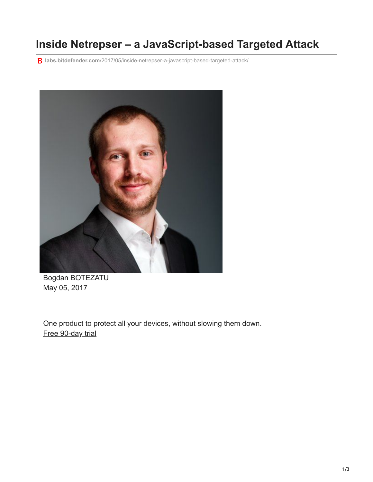## **Inside Netrepser – a JavaScript-based Targeted Attack**

**labs.bitdefender.com**[/2017/05/inside-netrepser-a-javascript-based-targeted-attack/](https://labs.bitdefender.com/2017/05/inside-netrepser-a-javascript-based-targeted-attack/)



[Bogdan BOTEZATU](http://10.10.0.46/blog/labs/author/bbotezatu/) May 05, 2017

One product to protect all your devices, without slowing them down. [Free 90-day trial](http://10.10.0.46/media/html/consumer/new/get-your-90-day-trial-opt/index.html)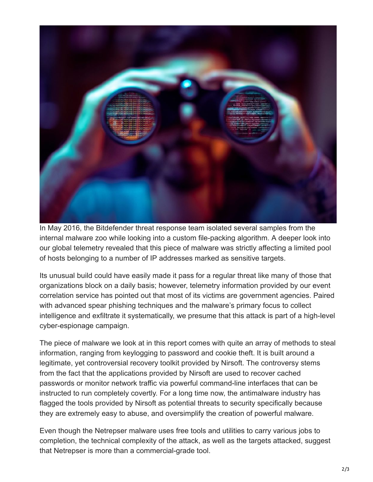

In May 2016, the Bitdefender threat response team isolated several samples from the internal malware zoo while looking into a custom file-packing algorithm. A deeper look into our global telemetry revealed that this piece of malware was strictly affecting a limited pool of hosts belonging to a number of IP addresses marked as sensitive targets.

Its unusual build could have easily made it pass for a regular threat like many of those that organizations block on a daily basis; however, telemetry information provided by our event correlation service has pointed out that most of its victims are government agencies. Paired with advanced spear phishing techniques and the malware's primary focus to collect intelligence and exfiltrate it systematically, we presume that this attack is part of a high-level cyber-espionage campaign.

The piece of malware we look at in this report comes with quite an array of methods to steal information, ranging from keylogging to password and cookie theft. It is built around a legitimate, yet controversial recovery toolkit provided by Nirsoft. The controversy stems from the fact that the applications provided by Nirsoft are used to recover cached passwords or monitor network traffic via powerful command-line interfaces that can be instructed to run completely covertly. For a long time now, the antimalware industry has flagged the tools provided by Nirsoft as potential threats to security specifically because they are extremely easy to abuse, and oversimplify the creation of powerful malware.

Even though the Netrepser malware uses free tools and utilities to carry various jobs to completion, the technical complexity of the attack, as well as the targets attacked, suggest that Netrepser is more than a commercial-grade tool.